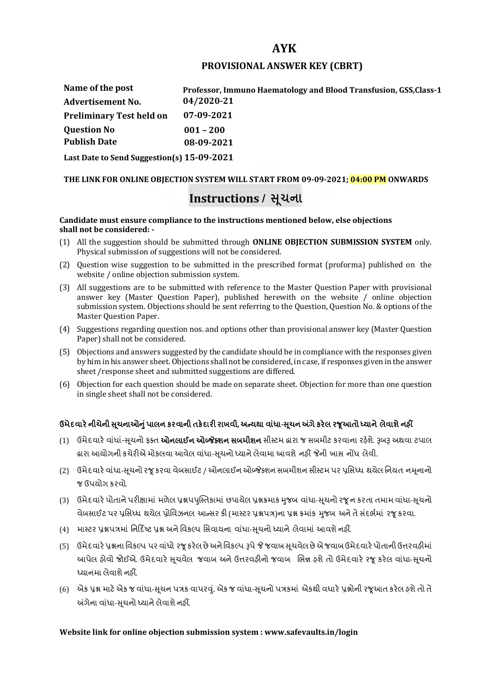# **AYK**

### **PROVISIONAL ANSWER KEY (CBRT)**

| Name of the post                | Professor, Immuno Haematology and Blood Transfusion, GSS, Class-1 |
|---------------------------------|-------------------------------------------------------------------|
| <b>Advertisement No.</b>        | 04/2020-21                                                        |
| <b>Preliminary Test held on</b> | 07-09-2021                                                        |
| <b>Question No</b>              | $001 - 200$                                                       |
| <b>Publish Date</b>             | 08-09-2021                                                        |
|                                 |                                                                   |

**Last Date to Send Suggestion(s) 15-09-2021**

#### **THE LINK FOR ONLINE OBJECTION SYSTEM WILL START FROM 09-09-2021; 04:00 PM ONWARDS**

# **Instructions / �ચના ૂ**

#### **Candidate must ensure compliance to the instructions mentioned below, else objections shall not be considered: -**

- (1) All the suggestion should be submitted through **ONLINE OBJECTION SUBMISSION SYSTEM** only. Physical submission of suggestions will not be considered.
- (2) Question wise suggestion to be submitted in the prescribed format (proforma) published on the website / online objection submission system.
- (3) All suggestions are to be submitted with reference to the Master Question Paper with provisional answer key (Master Question Paper), published herewith on the website / online objection submission system. Objections should be sent referring to the Question, Question No. & options of the Master Question Paper.
- (4) Suggestions regarding question nos. and options other than provisional answer key (Master Question Paper) shall not be considered.
- (5) Objections and answers suggested by the candidate should be in compliance with the responses given by him in his answer sheet. Objections shall not be considered, in case, if responses given in the answer sheet /response sheet and submitted suggestions are differed.
- (6) Objection for each question should be made on separate sheet. Objection for more than one question in single sheet shall not be considered.

## **ઉમેદવાર°નીચેની Ʌ ૂચનાઓȵુંપાલન કરવાની તક°દાર રાખવી, અƛયથા વા ંધા-Ʌ ૂચન Ӕગેકર°લ રȩૂઆતો ƚયાને લેવાશેનહӄ**

- (1) ઉમેદવારે વાંધાં-સુચનો ફક્ત **ઓનલાઈન ઓબ્જેક્શન સબમીશન** સીસ્ટમ હ્રારા જ સબમીટ કરવાના રહેશે. રૂબરૂ અથવા ટપાલ હ્રારા આયોગની કચેરીએ મોકલવા આવેલ વાંધા-સૂચનો ધ્યાને લેવામા આવશે નહીં જેની ખાસ નોંધ લેવી.
- (2) ઉમેદવારે વાંધા-સચનો રજ કરવા વેબસાઈટ / ઓનલાઈન ઓબ્જેક્શન સબમીશન સીસ્ટમ પર પ્રસિધ્ધ થયેલ નિયત નમનાનો જ ઉપયોગ કરવો.
- (3) ઉમેદવારે પોતાને પરીક્ષામાં મળેલ પ્રશ્નપપુસ્તિકામાં છપાયેલ પ્રશ્નક્રમાક મુજબ વાંધા-સૂચનો રજૂન કરતા તમામ વાંધા-સૂચનો વેબસાઈટ પર પ્રસિધ્ધ થયેલ પ્રોવિઝનલ આન્સર કી (માસ્ટર પ્રશ્નપત્ર)ના પ્રશ્ન ક્રમાંક મજબ અને તે સંદર્ભમાં ૨જ કરવા.
- (4) માસ્ટર પ્રશ્નપત્રમાં નિર્દિષ્ટ પ્રશ્ન અને વિકલ્પ સિવાયના વાંધા-સચનો ધ્યાને લેવામાં આવશે નહીં.
- (5) ઉમેદવારે પ્રશ્નના વિકલ્પ પર વાંધો રજૂ કરેલ છે અને વિકલ્પ રૂપે જે જવાબ સુચવેલ છે એ જવાબ ઉમેદવારે પોતાની ઉત્તરવહીમાં આપેલ હોવો જોઈએ. ઉમેદવારે સૂચવેલ જવાબ અને ઉત્તરવહીનો જવાબ ભિન્ન હશે તો ઉમેદવારે રજૂ કરેલ વાંધા-સૂચનો ધ્યાનમા લેવાશે નહીં.
- (6) એક પ્રશ્ન માટે એક જ વાંધા-સૂચન પત્રક વાપરવું. એક જ વાંધા-સૂચનો પત્રકમાં એકથી વધારે પ્રશ્નોની રજૂઆત કરેલ હશે તો તે અંગેના વાંધા-સુચનો ધ્યાને લેવાશે નહીં.

### **Website link for online objection submission system : www.safevaults.in/login**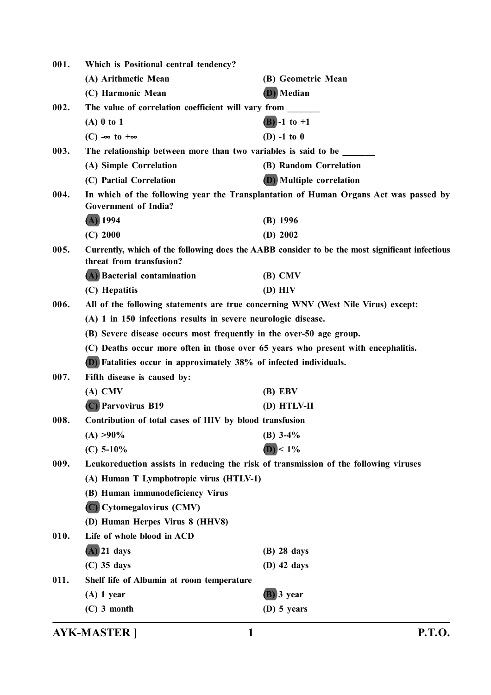| Which is Positional central tendency?                                             |                                                                                                                                                                                                                                                                                                                                                             |
|-----------------------------------------------------------------------------------|-------------------------------------------------------------------------------------------------------------------------------------------------------------------------------------------------------------------------------------------------------------------------------------------------------------------------------------------------------------|
| (A) Arithmetic Mean                                                               | (B) Geometric Mean                                                                                                                                                                                                                                                                                                                                          |
| (C) Harmonic Mean                                                                 | (D) Median                                                                                                                                                                                                                                                                                                                                                  |
| The value of correlation coefficient will vary from                               |                                                                                                                                                                                                                                                                                                                                                             |
| $(A)$ 0 to 1                                                                      | (B) -1 to +1                                                                                                                                                                                                                                                                                                                                                |
| $(C) \rightarrow \infty$ to $+\infty$                                             | $(D) -1$ to 0                                                                                                                                                                                                                                                                                                                                               |
| The relationship between more than two variables is said to be                    |                                                                                                                                                                                                                                                                                                                                                             |
| (A) Simple Correlation                                                            | (B) Random Correlation                                                                                                                                                                                                                                                                                                                                      |
| (C) Partial Correlation                                                           | <b>(D)</b> Multiple correlation                                                                                                                                                                                                                                                                                                                             |
|                                                                                   | In which of the following year the Transplantation of Human Organs Act was passed by                                                                                                                                                                                                                                                                        |
|                                                                                   |                                                                                                                                                                                                                                                                                                                                                             |
|                                                                                   | $(B)$ 1996                                                                                                                                                                                                                                                                                                                                                  |
|                                                                                   | (D) 2002                                                                                                                                                                                                                                                                                                                                                    |
| threat from transfusion?                                                          | Currently, which of the following does the AABB consider to be the most significant infectious                                                                                                                                                                                                                                                              |
| (A) Bacterial contamination                                                       | $(B)$ CMV                                                                                                                                                                                                                                                                                                                                                   |
| (C) Hepatitis                                                                     | $(D)$ HIV                                                                                                                                                                                                                                                                                                                                                   |
| All of the following statements are true concerning WNV (West Nile Virus) except: |                                                                                                                                                                                                                                                                                                                                                             |
| (A) 1 in 150 infections results in severe neurologic disease.                     |                                                                                                                                                                                                                                                                                                                                                             |
| (B) Severe disease occurs most frequently in the over-50 age group.               |                                                                                                                                                                                                                                                                                                                                                             |
| (C) Deaths occur more often in those over 65 years who present with encephalitis. |                                                                                                                                                                                                                                                                                                                                                             |
| (D) Fatalities occur in approximately 38% of infected individuals.                |                                                                                                                                                                                                                                                                                                                                                             |
| Fifth disease is caused by:                                                       |                                                                                                                                                                                                                                                                                                                                                             |
| $(A)$ CMV                                                                         | $(B)$ EBV                                                                                                                                                                                                                                                                                                                                                   |
| (C) Parvovirus B19                                                                | (D) HTLV-II                                                                                                                                                                                                                                                                                                                                                 |
| Contribution of total cases of HIV by blood transfusion                           |                                                                                                                                                                                                                                                                                                                                                             |
|                                                                                   | (B) $3-4\%$                                                                                                                                                                                                                                                                                                                                                 |
| $(C)$ 5-10%                                                                       | $(D) < 1\%$                                                                                                                                                                                                                                                                                                                                                 |
|                                                                                   |                                                                                                                                                                                                                                                                                                                                                             |
|                                                                                   |                                                                                                                                                                                                                                                                                                                                                             |
| (B) Human immunodeficiency Virus                                                  |                                                                                                                                                                                                                                                                                                                                                             |
|                                                                                   |                                                                                                                                                                                                                                                                                                                                                             |
|                                                                                   |                                                                                                                                                                                                                                                                                                                                                             |
|                                                                                   |                                                                                                                                                                                                                                                                                                                                                             |
|                                                                                   | (B) 28 days                                                                                                                                                                                                                                                                                                                                                 |
|                                                                                   | $(D)$ 42 days                                                                                                                                                                                                                                                                                                                                               |
| Shelf life of Albumin at room temperature                                         |                                                                                                                                                                                                                                                                                                                                                             |
| $(A)$ 1 year                                                                      | $(B)$ 3 year                                                                                                                                                                                                                                                                                                                                                |
|                                                                                   | $(D)$ 5 years                                                                                                                                                                                                                                                                                                                                               |
|                                                                                   | <b>Government of India?</b><br>$(A)$ 1994<br>$(C)$ 2000<br>$(A) > 90\%$<br>Leukoreduction assists in reducing the risk of transmission of the following viruses<br>(A) Human T Lymphotropic virus (HTLV-1)<br>(C) Cytomegalovirus (CMV)<br>(D) Human Herpes Virus 8 (HHV8)<br>Life of whole blood in ACD<br>$(A)$ 21 days<br>$(C)$ 35 days<br>$(C)$ 3 month |

**AYK-MASTER ] 1 P.T.O.**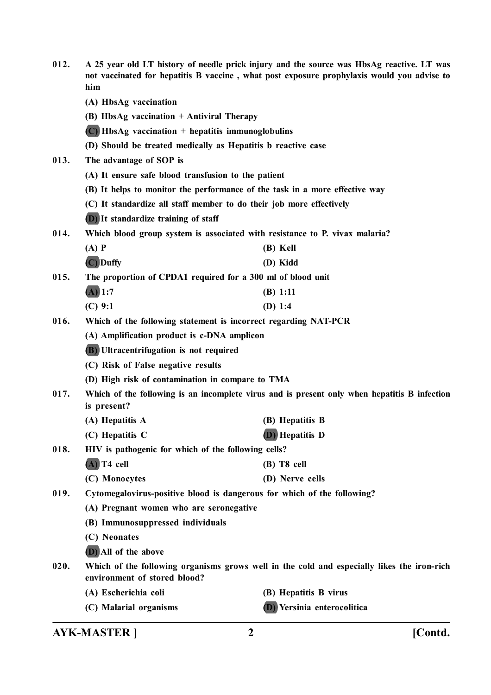| 012. | A 25 year old LT history of needle prick injury and the source was HbsAg reactive. LT was<br>not vaccinated for hepatitis B vaccine, what post exposure prophylaxis would you advise to<br>him |                                                                                              |
|------|------------------------------------------------------------------------------------------------------------------------------------------------------------------------------------------------|----------------------------------------------------------------------------------------------|
|      | (A) HbsAg vaccination                                                                                                                                                                          |                                                                                              |
|      | (B) HbsAg vaccination + Antiviral Therapy                                                                                                                                                      |                                                                                              |
|      | $(C)$ HbsAg vaccination + hepatitis immunoglobulins                                                                                                                                            |                                                                                              |
|      | (D) Should be treated medically as Hepatitis b reactive case                                                                                                                                   |                                                                                              |
| 013. | The advantage of SOP is                                                                                                                                                                        |                                                                                              |
|      | (A) It ensure safe blood transfusion to the patient                                                                                                                                            |                                                                                              |
|      | (B) It helps to monitor the performance of the task in a more effective way                                                                                                                    |                                                                                              |
|      | (C) It standardize all staff member to do their job more effectively                                                                                                                           |                                                                                              |
|      | (D) It standardize training of staff                                                                                                                                                           |                                                                                              |
| 014. | Which blood group system is associated with resistance to P. vivax malaria?                                                                                                                    |                                                                                              |
|      | $(A)$ $P$                                                                                                                                                                                      | (B) Kell                                                                                     |
|      | (C) Duffy                                                                                                                                                                                      | (D) Kidd                                                                                     |
| 015. | The proportion of CPDA1 required for a 300 ml of blood unit                                                                                                                                    |                                                                                              |
|      | $(A)$ 1:7                                                                                                                                                                                      | (B) 1:11                                                                                     |
|      | $(C)$ 9:1                                                                                                                                                                                      | (D) $1:4$                                                                                    |
| 016. | Which of the following statement is incorrect regarding NAT-PCR                                                                                                                                |                                                                                              |
|      | (A) Amplification product is c-DNA amplicon                                                                                                                                                    |                                                                                              |
|      | (B) Ultracentrifugation is not required                                                                                                                                                        |                                                                                              |
|      | (C) Risk of False negative results                                                                                                                                                             |                                                                                              |
|      | (D) High risk of contamination in compare to TMA                                                                                                                                               |                                                                                              |
| 017. | is present?                                                                                                                                                                                    | Which of the following is an incomplete virus and is present only when hepatitis B infection |
|      | (A) Hepatitis A                                                                                                                                                                                | (B) Hepatitis B                                                                              |
|      | (C) Hepatitis C                                                                                                                                                                                | (D) Hepatitis D                                                                              |
| 018. | HIV is pathogenic for which of the following cells?                                                                                                                                            |                                                                                              |
|      | $(A)$ T4 cell                                                                                                                                                                                  | $(B)$ T8 cell                                                                                |
|      | (C) Monocytes                                                                                                                                                                                  | (D) Nerve cells                                                                              |
| 019. | Cytomegalovirus-positive blood is dangerous for which of the following?                                                                                                                        |                                                                                              |
|      | (A) Pregnant women who are seronegative                                                                                                                                                        |                                                                                              |
|      | (B) Immunosuppressed individuals                                                                                                                                                               |                                                                                              |
|      | (C) Neonates                                                                                                                                                                                   |                                                                                              |
|      | (D) All of the above                                                                                                                                                                           |                                                                                              |
| 020. | Which of the following organisms grows well in the cold and especially likes the iron-rich<br>environment of stored blood?                                                                     |                                                                                              |
|      | (A) Escherichia coli                                                                                                                                                                           | (B) Hepatitis B virus                                                                        |
|      | (C) Malarial organisms                                                                                                                                                                         | (D) Yersinia enterocolitica                                                                  |
|      |                                                                                                                                                                                                |                                                                                              |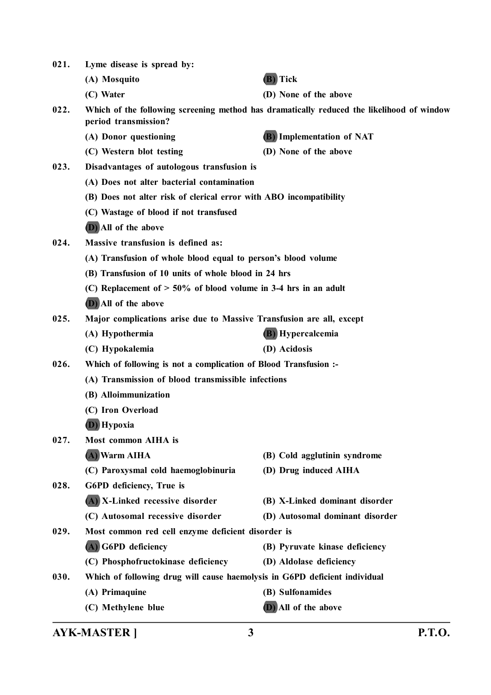| 021. | Lyme disease is spread by:                                                 |                                                                                           |
|------|----------------------------------------------------------------------------|-------------------------------------------------------------------------------------------|
|      | (A) Mosquito                                                               | (B) Tick                                                                                  |
|      | (C) Water                                                                  | (D) None of the above                                                                     |
| 022. | period transmission?                                                       | Which of the following screening method has dramatically reduced the likelihood of window |
|      | (A) Donor questioning                                                      | <b>(B)</b> Implementation of NAT                                                          |
|      | (C) Western blot testing                                                   | (D) None of the above                                                                     |
| 023. | Disadvantages of autologous transfusion is                                 |                                                                                           |
|      | (A) Does not alter bacterial contamination                                 |                                                                                           |
|      | (B) Does not alter risk of clerical error with ABO incompatibility         |                                                                                           |
|      | (C) Wastage of blood if not transfused                                     |                                                                                           |
|      | (D) All of the above                                                       |                                                                                           |
| 024. | Massive transfusion is defined as:                                         |                                                                                           |
|      | (A) Transfusion of whole blood equal to person's blood volume              |                                                                                           |
|      | (B) Transfusion of 10 units of whole blood in 24 hrs                       |                                                                                           |
|      | (C) Replacement of $> 50\%$ of blood volume in 3-4 hrs in an adult         |                                                                                           |
|      | (D) All of the above                                                       |                                                                                           |
| 025. | Major complications arise due to Massive Transfusion are all, except       |                                                                                           |
|      | (A) Hypothermia                                                            | <b>(B)</b> Hypercalcemia                                                                  |
|      | (C) Hypokalemia                                                            | (D) Acidosis                                                                              |
| 026. | Which of following is not a complication of Blood Transfusion :-           |                                                                                           |
|      | (A) Transmission of blood transmissible infections                         |                                                                                           |
|      | (B) Alloimmunization                                                       |                                                                                           |
|      | (C) Iron Overload                                                          |                                                                                           |
|      | (D) Hypoxia                                                                |                                                                                           |
| 027. | Most common AIHA is                                                        |                                                                                           |
|      | (A) Warm AIHA                                                              | (B) Cold agglutinin syndrome                                                              |
|      | (C) Paroxysmal cold haemoglobinuria                                        | (D) Drug induced AIHA                                                                     |
| 028. | G6PD deficiency, True is                                                   |                                                                                           |
|      | (A) X-Linked recessive disorder                                            | (B) X-Linked dominant disorder                                                            |
|      | (C) Autosomal recessive disorder                                           | (D) Autosomal dominant disorder                                                           |
| 029. | Most common red cell enzyme deficient disorder is                          |                                                                                           |
|      | (A) G6PD deficiency                                                        | (B) Pyruvate kinase deficiency                                                            |
|      | (C) Phosphofructokinase deficiency                                         | (D) Aldolase deficiency                                                                   |
| 030. | Which of following drug will cause haemolysis in G6PD deficient individual |                                                                                           |
|      | (A) Primaquine                                                             | (B) Sulfonamides                                                                          |
|      | (C) Methylene blue                                                         | (D) All of the above                                                                      |
|      |                                                                            |                                                                                           |

**AYK-MASTER ] 3 P.T.O.**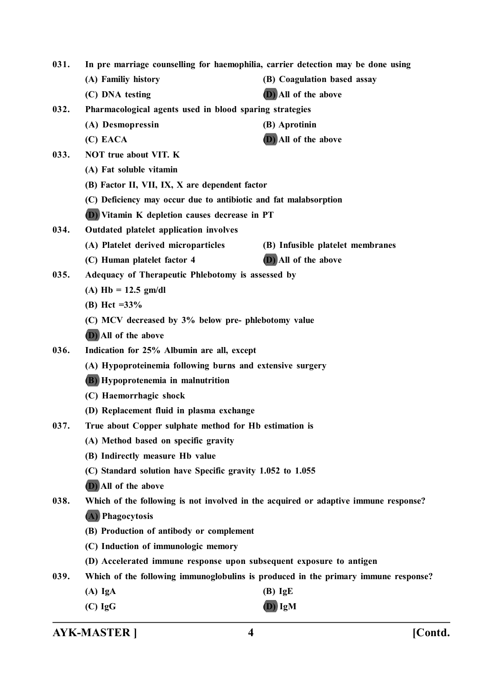**031. In pre marriage counselling for haemophilia, carrier detection may be done using (A) Familiy history (B) Coagulation based assay (C) DNA testing (D) All of the above**

**032. Pharmacological agents used in blood sparing strategies**

- **(A) Desmopressin (B) Aprotinin**
- **(C) EACA (D) All of the above**
- **033. NOT true about VIT. K**
	- **(A) Fat soluble vitamin**
	- **(B) Factor II, VII, IX, X are dependent factor**
	- **(C) Deficiency may occur due to antibiotic and fat malabsorption**
	- **(D) Vitamin K depletion causes decrease in PT**
- **034. Outdated platelet application involves**
	- **(A) Platelet derived microparticles (B) Infusible platelet membranes**
	- **(C) Human platelet factor 4 (D) All of the above**
- **035. Adequacy of Therapeutic Phlebotomy is assessed by**
	- **(A) Hb = 12.5 gm/dl**
	- **(B) Hct =33%**
	- **(C) MCV decreased by 3% below pre- phlebotomy value**
	- **(D) All of the above**
- **036. Indication for 25% Albumin are all, except**
	- **(A) Hypoproteinemia following burns and extensive surgery**
	- **(B) Hypoprotenemia in malnutrition**
	- **(C) Haemorrhagic shock**
	- **(D) Replacement fluid in plasma exchange**
- **037. True about Copper sulphate method for Hb estimation is**
	- **(A) Method based on specific gravity**
	- **(B) Indirectly measure Hb value**
	- **(C) Standard solution have Specific gravity 1.052 to 1.055**
	- **(D) All of the above**

**038. Which of the following is not involved in the acquired or adaptive immune response?**

- **(A) Phagocytosis**
- **(B) Production of antibody or complement**
- **(C) Induction of immunologic memory**
- **(D) Accelerated immune response upon subsequent exposure to antigen**
- **039. Which of the following immunoglobulins is produced in the primary immune response?**
	- **(A) IgA (B) IgE**
	- **(C) IgG (D) IgM**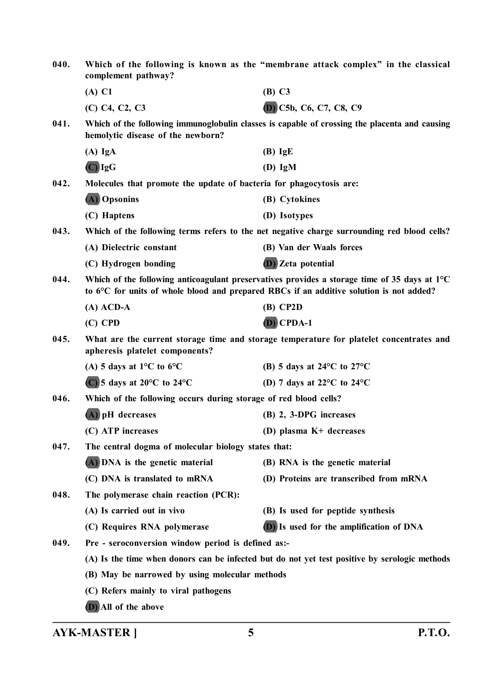| 040. | Which of the following is known as the "membrane attack complex" in the classical<br>complement pathway?                                                                                         |                                                                                               |  |
|------|--------------------------------------------------------------------------------------------------------------------------------------------------------------------------------------------------|-----------------------------------------------------------------------------------------------|--|
|      | $(A)$ C1                                                                                                                                                                                         | (B) C3                                                                                        |  |
|      | (C) C4, C2, C3                                                                                                                                                                                   | (D) C5b, C6, C7, C8, C9                                                                       |  |
| 041. | hemolytic disease of the newborn?                                                                                                                                                                | Which of the following immunoglobulin classes is capable of crossing the placenta and causing |  |
|      | $(A)$ IgA                                                                                                                                                                                        | $(B)$ IgE                                                                                     |  |
|      | $(C)$ IgG                                                                                                                                                                                        | $(D)$ IgM                                                                                     |  |
| 042. | Molecules that promote the update of bacteria for phagocytosis are:                                                                                                                              |                                                                                               |  |
|      | (A) Opsonins                                                                                                                                                                                     | (B) Cytokines                                                                                 |  |
|      | (C) Haptens                                                                                                                                                                                      | (D) Isotypes                                                                                  |  |
| 043. |                                                                                                                                                                                                  | Which of the following terms refers to the net negative charge surrounding red blood cells?   |  |
|      | (A) Dielectric constant                                                                                                                                                                          | (B) Van der Waals forces                                                                      |  |
|      | (C) Hydrogen bonding                                                                                                                                                                             | <b>D</b> ) Zeta potential                                                                     |  |
| 044. | Which of the following anticoagulant preservatives provides a storage time of 35 days at $1^{\circ}C$<br>to 6°C for units of whole blood and prepared RBCs if an additive solution is not added? |                                                                                               |  |
|      | $(A)$ ACD-A                                                                                                                                                                                      | $(B)$ CP2D                                                                                    |  |
|      | $(C)$ CPD                                                                                                                                                                                        | $(D)$ CPDA-1                                                                                  |  |
| 045. | What are the current storage time and storage temperature for platelet concentrates and<br>apheresis platelet components?                                                                        |                                                                                               |  |
|      | (A) 5 days at 1 <sup>o</sup> C to 6 <sup>o</sup> C                                                                                                                                               | (B) 5 days at 24 $\rm ^{o}C$ to 27 $\rm ^{o}C$                                                |  |
|      | $(C)$ 5 days at 20 $\rm{^{\circ}C}$ to 24 $\rm{^{\circ}C}$                                                                                                                                       | (D) 7 days at 22 $\mathrm{^{\circ}C}$ to 24 $\mathrm{^{\circ}C}$                              |  |
| 046. | Which of the following occurs during storage of red blood cells?                                                                                                                                 |                                                                                               |  |
|      | (A) pH decreases                                                                                                                                                                                 | (B) 2, 3-DPG increases                                                                        |  |
|      | (C) ATP increases                                                                                                                                                                                | (D) plasma K+ decreases                                                                       |  |
| 047. | The central dogma of molecular biology states that:                                                                                                                                              |                                                                                               |  |
|      | (A) DNA is the genetic material                                                                                                                                                                  | (B) RNA is the genetic material                                                               |  |
|      | (C) DNA is translated to mRNA                                                                                                                                                                    | (D) Proteins are transcribed from mRNA                                                        |  |
| 048. | The polymerase chain reaction (PCR):                                                                                                                                                             |                                                                                               |  |
|      | (A) Is carried out in vivo                                                                                                                                                                       | (B) Is used for peptide synthesis                                                             |  |
|      | (C) Requires RNA polymerase                                                                                                                                                                      | <b>(D)</b> Is used for the amplification of DNA                                               |  |
| 049. | Pre - seroconversion window period is defined as:-                                                                                                                                               |                                                                                               |  |
|      | (A) Is the time when donors can be infected but do not yet test positive by serologic methods                                                                                                    |                                                                                               |  |
|      | (B) May be narrowed by using molecular methods                                                                                                                                                   |                                                                                               |  |
|      | (C) Refers mainly to viral pathogens                                                                                                                                                             |                                                                                               |  |
|      | (D) All of the above                                                                                                                                                                             |                                                                                               |  |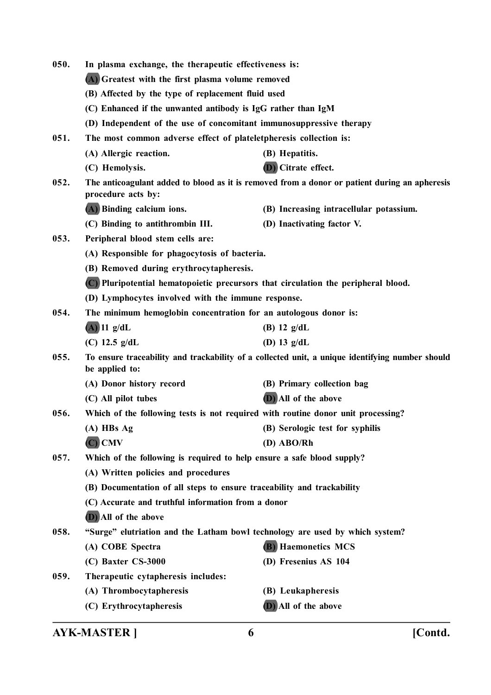| 050.<br>In plasma exchange, the therapeutic effectiveness is: |                                                                                                                   |                                                                                               |  |  |
|---------------------------------------------------------------|-------------------------------------------------------------------------------------------------------------------|-----------------------------------------------------------------------------------------------|--|--|
|                                                               | (A) Greatest with the first plasma volume removed                                                                 |                                                                                               |  |  |
|                                                               | (B) Affected by the type of replacement fluid used                                                                |                                                                                               |  |  |
|                                                               | (C) Enhanced if the unwanted antibody is IgG rather than IgM                                                      |                                                                                               |  |  |
|                                                               | (D) Independent of the use of concomitant immunosuppressive therapy                                               |                                                                                               |  |  |
| 051.                                                          | The most common adverse effect of plateletpheresis collection is:                                                 |                                                                                               |  |  |
|                                                               | (A) Allergic reaction.                                                                                            | (B) Hepatitis.                                                                                |  |  |
|                                                               | (C) Hemolysis.                                                                                                    | (D) Citrate effect.                                                                           |  |  |
| 052.                                                          | procedure acts by:                                                                                                | The anticoagulant added to blood as it is removed from a donor or patient during an apheresis |  |  |
|                                                               | (A) Binding calcium ions.                                                                                         | (B) Increasing intracellular potassium.                                                       |  |  |
|                                                               | (C) Binding to antithrombin III.                                                                                  | (D) Inactivating factor V.                                                                    |  |  |
| 053.                                                          | Peripheral blood stem cells are:                                                                                  |                                                                                               |  |  |
|                                                               | (A) Responsible for phagocytosis of bacteria.                                                                     |                                                                                               |  |  |
|                                                               | (B) Removed during erythrocytapheresis.                                                                           |                                                                                               |  |  |
|                                                               | (C) Pluripotential hematopoietic precursors that circulation the peripheral blood.                                |                                                                                               |  |  |
|                                                               | (D) Lymphocytes involved with the immune response.                                                                |                                                                                               |  |  |
| 054.                                                          | The minimum hemoglobin concentration for an autologous donor is:                                                  |                                                                                               |  |  |
|                                                               | $(A)$ 11 g/dL                                                                                                     | (B) $12 \text{ g/dL}$                                                                         |  |  |
|                                                               | (C) $12.5$ g/dL                                                                                                   | (D) 13 $g/dL$                                                                                 |  |  |
| 055.                                                          | To ensure traceability and trackability of a collected unit, a unique identifying number should<br>be applied to: |                                                                                               |  |  |
|                                                               | (A) Donor history record                                                                                          | (B) Primary collection bag                                                                    |  |  |
|                                                               | (C) All pilot tubes                                                                                               | (D) All of the above                                                                          |  |  |
| 056.                                                          | Which of the following tests is not required with routine donor unit processing?                                  |                                                                                               |  |  |
|                                                               | $(A)$ HBs $Ag$                                                                                                    | (B) Serologic test for syphilis                                                               |  |  |
|                                                               | $(C)$ CMV                                                                                                         | $(D)$ ABO/Rh                                                                                  |  |  |
| 057.                                                          | Which of the following is required to help ensure a safe blood supply?                                            |                                                                                               |  |  |
|                                                               | (A) Written policies and procedures                                                                               |                                                                                               |  |  |
|                                                               | (B) Documentation of all steps to ensure traceability and trackability                                            |                                                                                               |  |  |
|                                                               | (C) Accurate and truthful information from a donor                                                                |                                                                                               |  |  |
|                                                               | (D) All of the above                                                                                              |                                                                                               |  |  |
| 058.                                                          | "Surge" elutriation and the Latham bowl technology are used by which system?                                      |                                                                                               |  |  |
|                                                               | (A) COBE Spectra                                                                                                  | <b>(B)</b> Haemonetics MCS                                                                    |  |  |
|                                                               | (C) Baxter CS-3000                                                                                                | (D) Fresenius AS 104                                                                          |  |  |
| 059.                                                          | Therapeutic cytapheresis includes:                                                                                |                                                                                               |  |  |
|                                                               | (A) Thrombocytapheresis                                                                                           | (B) Leukapheresis                                                                             |  |  |
|                                                               | (C) Erythrocytapheresis                                                                                           | (D) All of the above                                                                          |  |  |
|                                                               |                                                                                                                   |                                                                                               |  |  |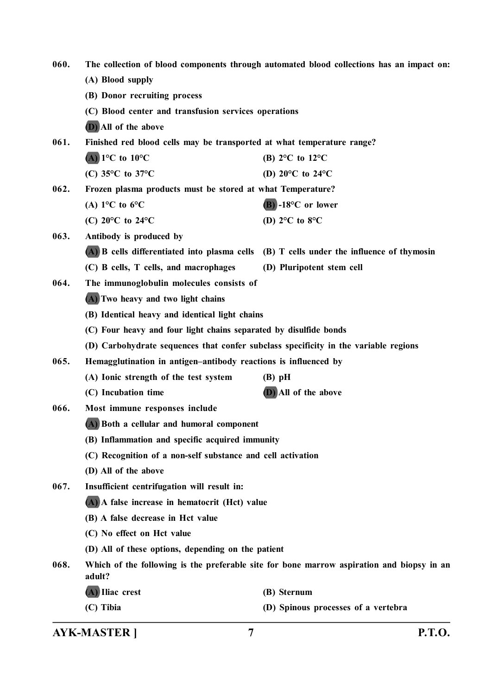| 060. | The collection of blood components through automated blood collections has an impact on:            |                                                                                          |  |
|------|-----------------------------------------------------------------------------------------------------|------------------------------------------------------------------------------------------|--|
|      | (A) Blood supply                                                                                    |                                                                                          |  |
|      | (B) Donor recruiting process                                                                        |                                                                                          |  |
|      | (C) Blood center and transfusion services operations                                                |                                                                                          |  |
|      | (D) All of the above                                                                                |                                                                                          |  |
| 061. | Finished red blood cells may be transported at what temperature range?                              |                                                                                          |  |
|      | $(A)$ 1°C to 10°C                                                                                   | (B) $2^{\circ}$ C to $12^{\circ}$ C                                                      |  |
|      | (C) $35^{\circ}$ C to $37^{\circ}$ C                                                                | (D) $20^{\circ}$ C to $24^{\circ}$ C                                                     |  |
| 062. | Frozen plasma products must be stored at what Temperature?                                          |                                                                                          |  |
|      | (A) $1^{\circ}$ C to $6^{\circ}$ C                                                                  | $(B)$ -18°C or lower                                                                     |  |
|      | (C) $20^{\circ}$ C to $24^{\circ}$ C                                                                | (D) $2^{\circ}$ C to $8^{\circ}$ C                                                       |  |
| 063. | Antibody is produced by                                                                             |                                                                                          |  |
|      |                                                                                                     | (A) B cells differentiated into plasma cells (B) T cells under the influence of thymosin |  |
|      | (C) B cells, T cells, and macrophages                                                               | (D) Pluripotent stem cell                                                                |  |
| 064. | The immunoglobulin molecules consists of                                                            |                                                                                          |  |
|      | (A) Two heavy and two light chains                                                                  |                                                                                          |  |
|      | (B) Identical heavy and identical light chains                                                      |                                                                                          |  |
|      | (C) Four heavy and four light chains separated by disulfide bonds                                   |                                                                                          |  |
|      | (D) Carbohydrate sequences that confer subclass specificity in the variable regions                 |                                                                                          |  |
| 065. | Hemagglutination in antigen-antibody reactions is influenced by                                     |                                                                                          |  |
|      | (A) Ionic strength of the test system                                                               | $(B)$ pH                                                                                 |  |
|      | (C) Incubation time                                                                                 | (D) All of the above                                                                     |  |
| 066. | Most immune responses include                                                                       |                                                                                          |  |
|      | (A) Both a cellular and humoral component                                                           |                                                                                          |  |
|      | (B) Inflammation and specific acquired immunity                                                     |                                                                                          |  |
|      | (C) Recognition of a non-self substance and cell activation                                         |                                                                                          |  |
|      | (D) All of the above                                                                                |                                                                                          |  |
| 067. | Insufficient centrifugation will result in:                                                         |                                                                                          |  |
|      | (A) A false increase in hematocrit (Hct) value                                                      |                                                                                          |  |
|      | (B) A false decrease in Hct value                                                                   |                                                                                          |  |
|      | (C) No effect on Hct value                                                                          |                                                                                          |  |
|      | (D) All of these options, depending on the patient                                                  |                                                                                          |  |
| 068. | Which of the following is the preferable site for bone marrow aspiration and biopsy in an<br>adult? |                                                                                          |  |
|      | (A) Iliac crest                                                                                     | (B) Sternum                                                                              |  |
|      | (C) Tibia                                                                                           | (D) Spinous processes of a vertebra                                                      |  |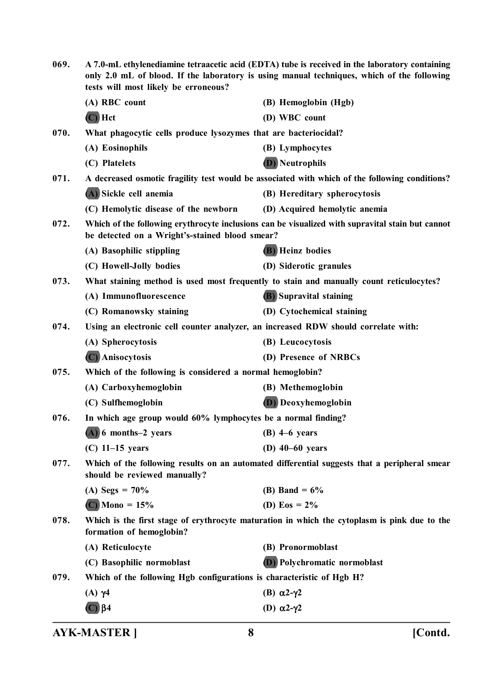| 069. | A 7.0-mL ethylenediamine tetraacetic acid (EDTA) tube is received in the laboratory containing<br>only 2.0 mL of blood. If the laboratory is using manual techniques, which of the following<br>tests will most likely be erroneous? |                                                                                                  |
|------|--------------------------------------------------------------------------------------------------------------------------------------------------------------------------------------------------------------------------------------|--------------------------------------------------------------------------------------------------|
|      | (A) RBC count                                                                                                                                                                                                                        | (B) Hemoglobin (Hgb)                                                                             |
|      | $(C)$ Hct                                                                                                                                                                                                                            | (D) WBC count                                                                                    |
| 070. | What phagocytic cells produce lysozymes that are bacteriocidal?                                                                                                                                                                      |                                                                                                  |
|      | (A) Eosinophils                                                                                                                                                                                                                      | (B) Lymphocytes                                                                                  |
|      | (C) Platelets                                                                                                                                                                                                                        | <b>D</b> ) Neutrophils                                                                           |
| 071. |                                                                                                                                                                                                                                      | A decreased osmotic fragility test would be associated with which of the following conditions?   |
|      | (A) Sickle cell anemia                                                                                                                                                                                                               | (B) Hereditary spherocytosis                                                                     |
|      | (C) Hemolytic disease of the newborn                                                                                                                                                                                                 | (D) Acquired hemolytic anemia                                                                    |
| 072. | be detected on a Wright's-stained blood smear?                                                                                                                                                                                       | Which of the following erythrocyte inclusions can be visualized with supravital stain but cannot |
|      | (A) Basophilic stippling                                                                                                                                                                                                             | <b>(B)</b> Heinz bodies                                                                          |
|      | (C) Howell-Jolly bodies                                                                                                                                                                                                              | (D) Siderotic granules                                                                           |
| 073. |                                                                                                                                                                                                                                      | What staining method is used most frequently to stain and manually count reticulocytes?          |
|      | (A) Immunofluorescence                                                                                                                                                                                                               | (B) Supravital staining                                                                          |
|      | (C) Romanowsky staining                                                                                                                                                                                                              | (D) Cytochemical staining                                                                        |
| 074. |                                                                                                                                                                                                                                      | Using an electronic cell counter analyzer, an increased RDW should correlate with:               |
|      | (A) Spherocytosis                                                                                                                                                                                                                    | (B) Leucocytosis                                                                                 |
|      | (C) Anisocytosis                                                                                                                                                                                                                     | (D) Presence of NRBCs                                                                            |
| 075. | Which of the following is considered a normal hemoglobin?                                                                                                                                                                            |                                                                                                  |
|      | (A) Carboxyhemoglobin                                                                                                                                                                                                                | (B) Methemoglobin                                                                                |
|      | (C) Sulfhemoglobin                                                                                                                                                                                                                   | <b>(D)</b> Deoxyhemoglobin                                                                       |
| 076. | In which age group would 60% lymphocytes be a normal finding?                                                                                                                                                                        |                                                                                                  |
|      | (A) 6 months-2 years                                                                                                                                                                                                                 | $(B)$ 4–6 years                                                                                  |
|      | $(C)$ 11–15 years                                                                                                                                                                                                                    | $(D)$ 40–60 years                                                                                |
| 077. | should be reviewed manually?                                                                                                                                                                                                         | Which of the following results on an automated differential suggests that a peripheral smear     |
|      | (A) Segs = $70\%$                                                                                                                                                                                                                    | (B) Band = $6\%$                                                                                 |
|      | $(C)$ Mono = 15%                                                                                                                                                                                                                     | (D) Eos = $2\%$                                                                                  |
| 078. | Which is the first stage of erythrocyte maturation in which the cytoplasm is pink due to the<br>formation of hemoglobin?                                                                                                             |                                                                                                  |
|      | (A) Reticulocyte                                                                                                                                                                                                                     | (B) Pronormoblast                                                                                |
|      | (C) Basophilic normoblast                                                                                                                                                                                                            | <b>D</b> ) Polychromatic normoblast                                                              |
| 079. | Which of the following Hgb configurations is characteristic of Hgb H?                                                                                                                                                                |                                                                                                  |
|      | $(A)$ $\gamma$ 4                                                                                                                                                                                                                     | (B) $\alpha$ 2- $\gamma$ 2                                                                       |
|      | $(C)$ $\beta$ 4                                                                                                                                                                                                                      | (D) $\alpha$ 2- $\gamma$ 2                                                                       |
|      |                                                                                                                                                                                                                                      |                                                                                                  |

**AYK-MASTER ] 8 [Contd.**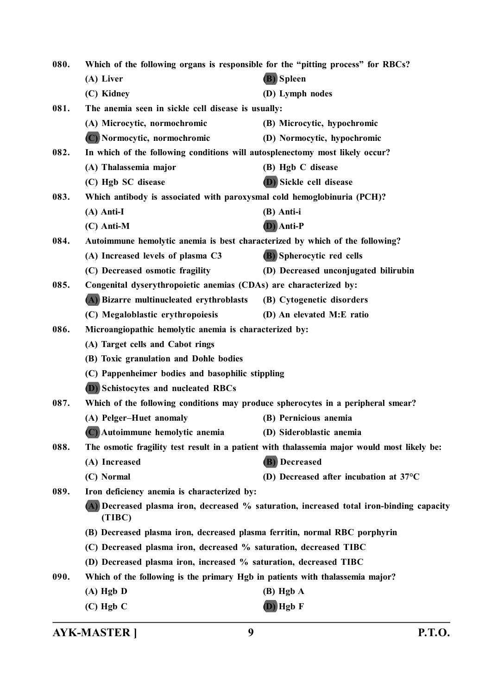| 080. | Which of the following organs is responsible for the "pitting process" for RBCs? |                                                                                             |
|------|----------------------------------------------------------------------------------|---------------------------------------------------------------------------------------------|
|      | (A) Liver                                                                        | (B) Spleen                                                                                  |
|      | (C) Kidney                                                                       | (D) Lymph nodes                                                                             |
| 081. | The anemia seen in sickle cell disease is usually:                               |                                                                                             |
|      | (A) Microcytic, normochromic                                                     | (B) Microcytic, hypochromic                                                                 |
|      | (C) Normocytic, normochromic                                                     | (D) Normocytic, hypochromic                                                                 |
| 082. | In which of the following conditions will autosplenectomy most likely occur?     |                                                                                             |
|      | (A) Thalassemia major                                                            | (B) Hgb C disease                                                                           |
|      | (C) Hgb SC disease                                                               | (D) Sickle cell disease                                                                     |
| 083. | Which antibody is associated with paroxysmal cold hemoglobinuria (PCH)?          |                                                                                             |
|      | $(A)$ Anti-I                                                                     | (B) Anti-i                                                                                  |
|      | $(C)$ Anti-M                                                                     | (D) Anti-P                                                                                  |
| 084. | Autoimmune hemolytic anemia is best characterized by which of the following?     |                                                                                             |
|      | (A) Increased levels of plasma C3                                                | (B) Spherocytic red cells                                                                   |
|      | (C) Decreased osmotic fragility                                                  | (D) Decreased unconjugated bilirubin                                                        |
| 085. | Congenital dyserythropoietic anemias (CDAs) are characterized by:                |                                                                                             |
|      | (A) Bizarre multinucleated erythroblasts                                         | (B) Cytogenetic disorders                                                                   |
|      | (C) Megaloblastic erythropoiesis                                                 | (D) An elevated M:E ratio                                                                   |
| 086. | Microangiopathic hemolytic anemia is characterized by:                           |                                                                                             |
|      | (A) Target cells and Cabot rings                                                 |                                                                                             |
|      | (B) Toxic granulation and Dohle bodies                                           |                                                                                             |
|      | (C) Pappenheimer bodies and basophilic stippling                                 |                                                                                             |
|      | <b>D</b> ) Schistocytes and nucleated RBCs                                       |                                                                                             |
| 087. | Which of the following conditions may produce spherocytes in a peripheral smear? |                                                                                             |
|      | (A) Pelger-Huet anomaly                                                          | (B) Pernicious anemia                                                                       |
|      | (C) Autoimmune hemolytic anemia                                                  | (D) Sideroblastic anemia                                                                    |
| 088. |                                                                                  | The osmotic fragility test result in a patient with thalassemia major would most likely be: |
|      | (A) Increased                                                                    | (B) Decreased                                                                               |
|      | (C) Normal                                                                       | (D) Decreased after incubation at $37^{\circ}$ C                                            |
| 089. | Iron deficiency anemia is characterized by:                                      |                                                                                             |
|      | (TIBC)                                                                           | (A) Decreased plasma iron, decreased % saturation, increased total iron-binding capacity    |
|      | (B) Decreased plasma iron, decreased plasma ferritin, normal RBC porphyrin       |                                                                                             |
|      | (C) Decreased plasma iron, decreased % saturation, decreased TIBC                |                                                                                             |
|      | (D) Decreased plasma iron, increased % saturation, decreased TIBC                |                                                                                             |
| 090. | Which of the following is the primary Hgb in patients with thalassemia major?    |                                                                                             |
|      | $(A)$ Hgb $D$                                                                    | $(B)$ Hgb $A$                                                                               |
|      | $(C)$ Hgb $C$                                                                    | $(D)$ Hgb F                                                                                 |
|      |                                                                                  |                                                                                             |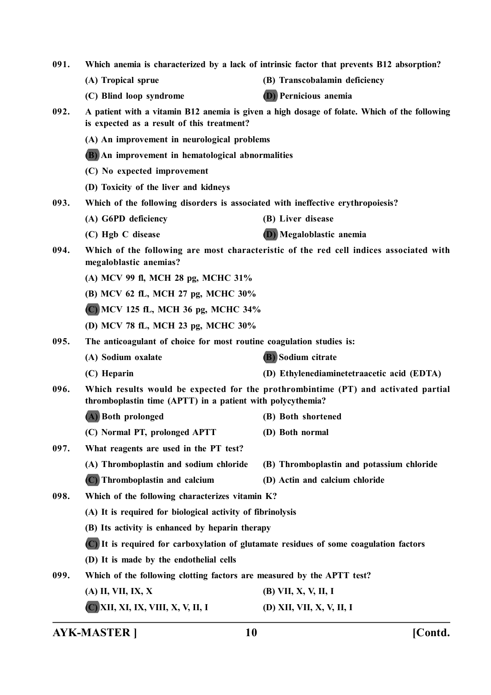| 091.<br>Which anemia is characterized by a lack of intrinsic factor that prevents B12 absorption? |                                                                                                                                                  |                                                                                              |  |  |
|---------------------------------------------------------------------------------------------------|--------------------------------------------------------------------------------------------------------------------------------------------------|----------------------------------------------------------------------------------------------|--|--|
|                                                                                                   | (A) Tropical sprue                                                                                                                               | (B) Transcobalamin deficiency                                                                |  |  |
|                                                                                                   | (C) Blind loop syndrome                                                                                                                          | <b>(D)</b> Pernicious anemia                                                                 |  |  |
| 092.                                                                                              | is expected as a result of this treatment?                                                                                                       | A patient with a vitamin B12 anemia is given a high dosage of folate. Which of the following |  |  |
|                                                                                                   | (A) An improvement in neurological problems                                                                                                      |                                                                                              |  |  |
|                                                                                                   |                                                                                                                                                  | (B) An improvement in hematological abnormalities                                            |  |  |
|                                                                                                   | (C) No expected improvement                                                                                                                      |                                                                                              |  |  |
|                                                                                                   | (D) Toxicity of the liver and kidneys                                                                                                            |                                                                                              |  |  |
| 093.                                                                                              | Which of the following disorders is associated with ineffective erythropoiesis?                                                                  |                                                                                              |  |  |
|                                                                                                   | (A) G6PD deficiency                                                                                                                              | (B) Liver disease                                                                            |  |  |
|                                                                                                   | (C) Hgb C disease                                                                                                                                | (D) Megaloblastic anemia                                                                     |  |  |
| 094.                                                                                              | megaloblastic anemias?                                                                                                                           | Which of the following are most characteristic of the red cell indices associated with       |  |  |
|                                                                                                   | (A) MCV 99 fl, MCH 28 pg, MCHC 31%                                                                                                               |                                                                                              |  |  |
|                                                                                                   |                                                                                                                                                  | (B) MCV 62 fL, MCH 27 pg, MCHC 30%                                                           |  |  |
|                                                                                                   | C) MCV 125 fL, MCH 36 pg, MCHC 34%                                                                                                               |                                                                                              |  |  |
|                                                                                                   | (D) MCV 78 fL, MCH 23 pg, MCHC 30%                                                                                                               |                                                                                              |  |  |
| 095.                                                                                              | The anticoagulant of choice for most routine coagulation studies is:                                                                             |                                                                                              |  |  |
|                                                                                                   | (A) Sodium oxalate                                                                                                                               | <b>B</b> ) Sodium citrate                                                                    |  |  |
|                                                                                                   | (C) Heparin                                                                                                                                      | (D) Ethylenediaminetetraacetic acid (EDTA)                                                   |  |  |
| 096.                                                                                              | Which results would be expected for the prothrombintime (PT) and activated partial<br>thromboplastin time (APTT) in a patient with polycythemia? |                                                                                              |  |  |
|                                                                                                   | (A) Both prolonged                                                                                                                               | (B) Both shortened                                                                           |  |  |
|                                                                                                   | (C) Normal PT, prolonged APTT                                                                                                                    | (D) Both normal                                                                              |  |  |
| 097.                                                                                              | What reagents are used in the PT test?                                                                                                           |                                                                                              |  |  |
|                                                                                                   | (A) Thromboplastin and sodium chloride                                                                                                           | (B) Thromboplastin and potassium chloride                                                    |  |  |
|                                                                                                   | (C) Thromboplastin and calcium                                                                                                                   | (D) Actin and calcium chloride                                                               |  |  |
| 098.                                                                                              | Which of the following characterizes vitamin K?                                                                                                  |                                                                                              |  |  |
|                                                                                                   | (A) It is required for biological activity of fibrinolysis                                                                                       |                                                                                              |  |  |
|                                                                                                   | (B) Its activity is enhanced by heparin therapy                                                                                                  |                                                                                              |  |  |
|                                                                                                   | (C) It is required for carboxylation of glutamate residues of some coagulation factors                                                           |                                                                                              |  |  |
|                                                                                                   | (D) It is made by the endothelial cells                                                                                                          |                                                                                              |  |  |
| 099.                                                                                              | Which of the following clotting factors are measured by the APTT test?                                                                           |                                                                                              |  |  |
|                                                                                                   | (A) II, VII, IX, X                                                                                                                               | (B) VII, X, V, II, I                                                                         |  |  |
|                                                                                                   | (C) XII, XI, IX, VIII, X, V, II, I                                                                                                               | (D) XII, VII, X, V, II, I                                                                    |  |  |
|                                                                                                   |                                                                                                                                                  |                                                                                              |  |  |

**AYK-MASTER ] 10 [Contd.**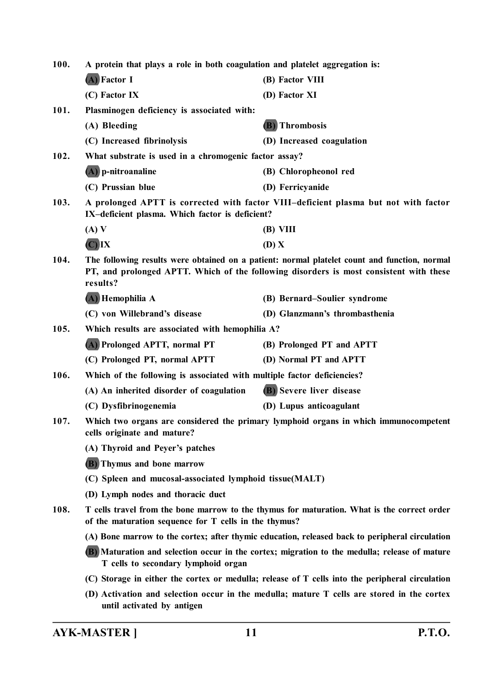**100. A protein that plays a role in both coagulation and platelet aggregation is: (A) Factor I (B) Factor VIII (C) Factor IX (D) Factor XI 101. Plasminogen deficiency is associated with: (A) Bleeding (B) Thrombosis (C) Increased fibrinolysis (D) Increased coagulation 102. What substrate is used in a chromogenic factor assay? (A) p-nitroanaline (B) Chloropheonol red (C) Prussian blue (D) Ferricyanide 103. A prolonged APTT is corrected with factor VIII–deficient plasma but not with factor IX–deficient plasma. Which factor is deficient? (A) V (B) VIII (C) IX (D) X 104. The following results were obtained on a patient: normal platelet count and function, normal PT, and prolonged APTT. Which of the following disorders is most consistent with these results? (A) Hemophilia A (B) Bernard–Soulier syndrome (C) von Willebrand's disease (D) Glanzmann's thrombasthenia 105. Which results are associated with hemophilia A? (A) Prolonged APTT, normal PT (B) Prolonged PT and APTT (C) Prolonged PT, normal APTT (D) Normal PT and APTT 106. Which of the following is associated with multiple factor deficiencies? (A) An inherited disorder of coagulation (B) Severe liver disease (C) Dysfibrinogenemia (D) Lupus anticoagulant 107. Which two organs are considered the primary lymphoid organs in which immunocompetent cells originate and mature? (A) Thyroid and Peyer's patches (B) Thymus and bone marrow (C) Spleen and mucosal-associated lymphoid tissue(MALT) (D) Lymph nodes and thoracic duct 108. T cells travel from the bone marrow to the thymus for maturation. What is the correct order of the maturation sequence for T cells in the thymus? (A) Bone marrow to the cortex; after thymic education, released back to peripheral circulation (B) Maturation and selection occur in the cortex; migration to the medulla; release of mature T cells to secondary lymphoid organ (C) Storage in either the cortex or medulla; release of T cells into the peripheral circulation (D) Activation and selection occur in the medulla; mature T cells are stored in the cortex until activated by antigen**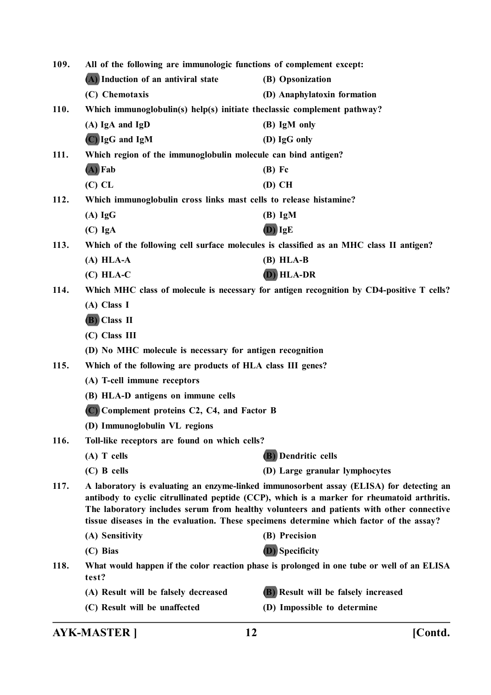| 109. | All of the following are immunologic functions of complement except:    |                                                                                                                                                                                                                                                                                                                                                                                |  |
|------|-------------------------------------------------------------------------|--------------------------------------------------------------------------------------------------------------------------------------------------------------------------------------------------------------------------------------------------------------------------------------------------------------------------------------------------------------------------------|--|
|      | (A) Induction of an antiviral state                                     | (B) Opsonization                                                                                                                                                                                                                                                                                                                                                               |  |
|      | (C) Chemotaxis                                                          | (D) Anaphylatoxin formation                                                                                                                                                                                                                                                                                                                                                    |  |
| 110. | Which immunoglobulin(s) help(s) initiate theclassic complement pathway? |                                                                                                                                                                                                                                                                                                                                                                                |  |
|      | $(A)$ IgA and IgD                                                       | (B) IgM only                                                                                                                                                                                                                                                                                                                                                                   |  |
|      | (C) IgG and IgM                                                         | (D) IgG only                                                                                                                                                                                                                                                                                                                                                                   |  |
| 111. | Which region of the immunoglobulin molecule can bind antigen?           |                                                                                                                                                                                                                                                                                                                                                                                |  |
|      | $(A)$ Fab                                                               | $(B)$ Fc                                                                                                                                                                                                                                                                                                                                                                       |  |
|      | $(C)$ CL                                                                | $(D)$ CH                                                                                                                                                                                                                                                                                                                                                                       |  |
| 112. | Which immunoglobulin cross links mast cells to release histamine?       |                                                                                                                                                                                                                                                                                                                                                                                |  |
|      | $(A)$ IgG                                                               | $(B)$ IgM                                                                                                                                                                                                                                                                                                                                                                      |  |
|      | $(C)$ IgA                                                               | $(D)$ IgE                                                                                                                                                                                                                                                                                                                                                                      |  |
| 113. |                                                                         | Which of the following cell surface molecules is classified as an MHC class II antigen?                                                                                                                                                                                                                                                                                        |  |
|      | $(A) HLA-A$                                                             | $(B) HLA-B$                                                                                                                                                                                                                                                                                                                                                                    |  |
|      | $(C)$ HLA-C                                                             | (D) HLA-DR                                                                                                                                                                                                                                                                                                                                                                     |  |
| 114. |                                                                         | Which MHC class of molecule is necessary for antigen recognition by CD4-positive T cells?                                                                                                                                                                                                                                                                                      |  |
|      | (A) Class I                                                             |                                                                                                                                                                                                                                                                                                                                                                                |  |
|      | (B) Class II                                                            |                                                                                                                                                                                                                                                                                                                                                                                |  |
|      | (C) Class III                                                           |                                                                                                                                                                                                                                                                                                                                                                                |  |
|      | (D) No MHC molecule is necessary for antigen recognition                |                                                                                                                                                                                                                                                                                                                                                                                |  |
| 115. | Which of the following are products of HLA class III genes?             |                                                                                                                                                                                                                                                                                                                                                                                |  |
|      | (A) T-cell immune receptors                                             |                                                                                                                                                                                                                                                                                                                                                                                |  |
|      | (B) HLA-D antigens on immune cells                                      |                                                                                                                                                                                                                                                                                                                                                                                |  |
|      | (C) Complement proteins C2, C4, and Factor B                            |                                                                                                                                                                                                                                                                                                                                                                                |  |
|      | (D) Immunoglobulin VL regions                                           |                                                                                                                                                                                                                                                                                                                                                                                |  |
| 116. | Toll-like receptors are found on which cells?                           |                                                                                                                                                                                                                                                                                                                                                                                |  |
|      | $(A)$ T cells                                                           | <b>(B)</b> Dendritic cells                                                                                                                                                                                                                                                                                                                                                     |  |
|      | $(C)$ B cells                                                           | (D) Large granular lymphocytes                                                                                                                                                                                                                                                                                                                                                 |  |
| 117. |                                                                         | A laboratory is evaluating an enzyme-linked immunosorbent assay (ELISA) for detecting an<br>antibody to cyclic citrullinated peptide (CCP), which is a marker for rheumatoid arthritis.<br>The laboratory includes serum from healthy volunteers and patients with other connective<br>tissue diseases in the evaluation. These specimens determine which factor of the assay? |  |
|      | (A) Sensitivity                                                         | (B) Precision                                                                                                                                                                                                                                                                                                                                                                  |  |
|      | (C) Bias                                                                | (D) Specificity                                                                                                                                                                                                                                                                                                                                                                |  |
| 118. | test?                                                                   | What would happen if the color reaction phase is prolonged in one tube or well of an ELISA                                                                                                                                                                                                                                                                                     |  |
|      | (A) Result will be falsely decreased                                    | (B) Result will be falsely increased                                                                                                                                                                                                                                                                                                                                           |  |
|      | (C) Result will be unaffected                                           | (D) Impossible to determine                                                                                                                                                                                                                                                                                                                                                    |  |
|      |                                                                         |                                                                                                                                                                                                                                                                                                                                                                                |  |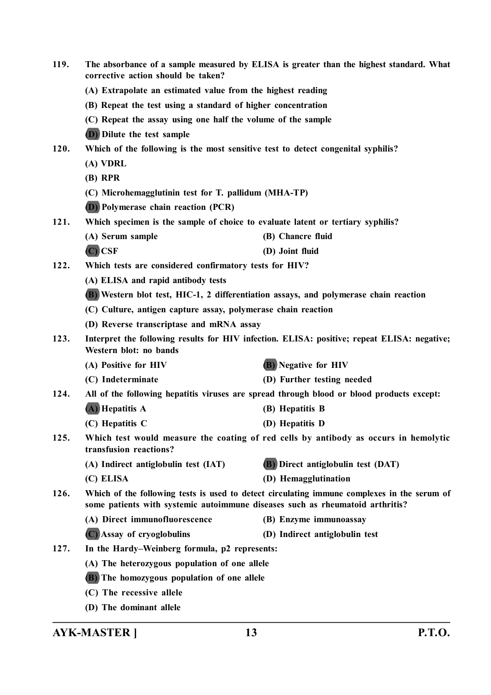| 119. | corrective action should be taken?                                                                                                                                           | The absorbance of a sample measured by ELISA is greater than the highest standard. What     |  |  |
|------|------------------------------------------------------------------------------------------------------------------------------------------------------------------------------|---------------------------------------------------------------------------------------------|--|--|
|      | (A) Extrapolate an estimated value from the highest reading                                                                                                                  |                                                                                             |  |  |
|      | (B) Repeat the test using a standard of higher concentration                                                                                                                 |                                                                                             |  |  |
|      | (C) Repeat the assay using one half the volume of the sample                                                                                                                 |                                                                                             |  |  |
|      | (D) Dilute the test sample                                                                                                                                                   |                                                                                             |  |  |
| 120. | Which of the following is the most sensitive test to detect congenital syphilis?                                                                                             |                                                                                             |  |  |
|      | (A) VDRL                                                                                                                                                                     |                                                                                             |  |  |
|      | $(B)$ RPR                                                                                                                                                                    |                                                                                             |  |  |
|      | (C) Microhemagglutinin test for T. pallidum (MHA-TP)                                                                                                                         |                                                                                             |  |  |
|      | <b>(D)</b> Polymerase chain reaction (PCR)                                                                                                                                   |                                                                                             |  |  |
| 121. | Which specimen is the sample of choice to evaluate latent or tertiary syphilis?                                                                                              |                                                                                             |  |  |
|      | (A) Serum sample                                                                                                                                                             | (B) Chancre fluid                                                                           |  |  |
|      | $(C)$ CSF                                                                                                                                                                    | (D) Joint fluid                                                                             |  |  |
| 122. | Which tests are considered confirmatory tests for HIV?                                                                                                                       |                                                                                             |  |  |
|      | (A) ELISA and rapid antibody tests                                                                                                                                           |                                                                                             |  |  |
|      |                                                                                                                                                                              | (B) Western blot test, HIC-1, 2 differentiation assays, and polymerase chain reaction       |  |  |
|      | (C) Culture, antigen capture assay, polymerase chain reaction                                                                                                                |                                                                                             |  |  |
|      | (D) Reverse transcriptase and mRNA assay                                                                                                                                     |                                                                                             |  |  |
| 123. | Western blot: no bands                                                                                                                                                       | Interpret the following results for HIV infection. ELISA: positive; repeat ELISA: negative; |  |  |
|      | (A) Positive for HIV                                                                                                                                                         | <b>(B)</b> Negative for HIV                                                                 |  |  |
|      | (C) Indeterminate                                                                                                                                                            | (D) Further testing needed                                                                  |  |  |
| 124. |                                                                                                                                                                              | All of the following hepatitis viruses are spread through blood or blood products except:   |  |  |
|      | (A) Hepatitis A                                                                                                                                                              | (B) Hepatitis B                                                                             |  |  |
|      | (C) Hepatitis C                                                                                                                                                              | (D) Hepatitis D                                                                             |  |  |
| 125. | transfusion reactions?                                                                                                                                                       | Which test would measure the coating of red cells by antibody as occurs in hemolytic        |  |  |
|      | (A) Indirect antiglobulin test (IAT)                                                                                                                                         | (B) Direct antiglobulin test (DAT)                                                          |  |  |
|      | (C) ELISA                                                                                                                                                                    | (D) Hemagglutination                                                                        |  |  |
| 126. | Which of the following tests is used to detect circulating immune complexes in the serum of<br>some patients with systemic autoimmune diseases such as rheumatoid arthritis? |                                                                                             |  |  |
|      | (A) Direct immunofluorescence                                                                                                                                                | (B) Enzyme immunoassay                                                                      |  |  |
|      | (C) Assay of cryoglobulins                                                                                                                                                   | (D) Indirect antiglobulin test                                                              |  |  |
| 127. | In the Hardy–Weinberg formula, p2 represents:                                                                                                                                |                                                                                             |  |  |
|      | (A) The heterozygous population of one allele                                                                                                                                |                                                                                             |  |  |
|      | (B) The homozygous population of one allele                                                                                                                                  |                                                                                             |  |  |
|      | (C) The recessive allele                                                                                                                                                     |                                                                                             |  |  |
|      | (D) The dominant allele                                                                                                                                                      |                                                                                             |  |  |

**AYK-MASTER ] 13 P.T.O.**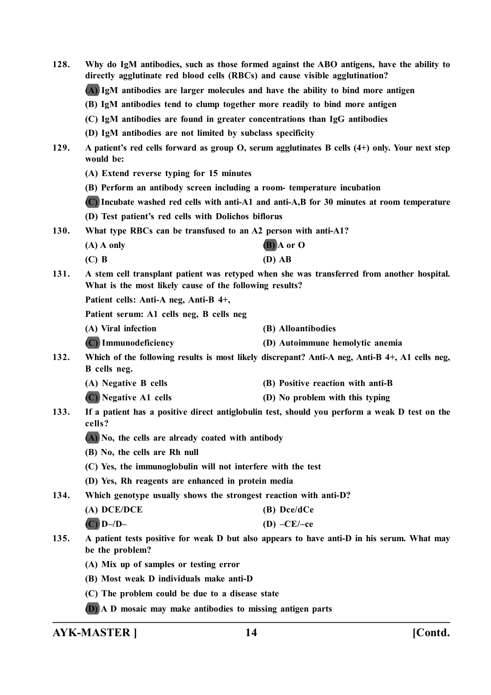| 128. | Why do IgM antibodies, such as those formed against the ABO antigens, have the ability to<br>directly agglutinate red blood cells (RBCs) and cause visible agglutination? |                                                                                            |  |
|------|---------------------------------------------------------------------------------------------------------------------------------------------------------------------------|--------------------------------------------------------------------------------------------|--|
|      | (A) IgM antibodies are larger molecules and have the ability to bind more antigen                                                                                         |                                                                                            |  |
|      | (B) IgM antibodies tend to clump together more readily to bind more antigen                                                                                               |                                                                                            |  |
|      | (C) IgM antibodies are found in greater concentrations than IgG antibodies                                                                                                |                                                                                            |  |
|      | (D) IgM antibodies are not limited by subclass specificity                                                                                                                |                                                                                            |  |
| 129. | A patient's red cells forward as group O, serum agglutinates B cells (4+) only. Your next step<br>would be:                                                               |                                                                                            |  |
|      | (A) Extend reverse typing for 15 minutes                                                                                                                                  |                                                                                            |  |
|      | (B) Perform an antibody screen including a room- temperature incubation                                                                                                   |                                                                                            |  |
|      | (C) Incubate washed red cells with anti-A1 and anti-A,B for 30 minutes at room temperature                                                                                |                                                                                            |  |
|      | (D) Test patient's red cells with Dolichos biflorus                                                                                                                       |                                                                                            |  |
| 130. | What type RBCs can be transfused to an A2 person with anti-A1?                                                                                                            |                                                                                            |  |
|      | $(A)$ A only                                                                                                                                                              | $(B)$ A or O                                                                               |  |
|      | $(C)$ B                                                                                                                                                                   | $(D)$ AB                                                                                   |  |
| 131. | A stem cell transplant patient was retyped when she was transferred from another hospital.<br>What is the most likely cause of the following results?                     |                                                                                            |  |
|      | Patient cells: Anti-A neg, Anti-B 4+,                                                                                                                                     |                                                                                            |  |
|      | Patient serum: A1 cells neg, B cells neg                                                                                                                                  |                                                                                            |  |
|      | (A) Viral infection                                                                                                                                                       | (B) Alloantibodies                                                                         |  |
|      | (C) Immunodeficiency                                                                                                                                                      | (D) Autoimmune hemolytic anemia                                                            |  |
| 132. | Which of the following results is most likely discrepant? Anti-A neg, Anti-B 4+, A1 cells neg,<br>B cells neg.                                                            |                                                                                            |  |
|      | (A) Negative B cells                                                                                                                                                      | (B) Positive reaction with anti-B                                                          |  |
|      | (C) Negative A1 cells                                                                                                                                                     | (D) No problem with this typing                                                            |  |
| 133. | If a patient has a positive direct antiglobulin test, should you perform a weak D test on the<br>cells?                                                                   |                                                                                            |  |
|      | (A) No, the cells are already coated with antibody                                                                                                                        |                                                                                            |  |
|      | (B) No, the cells are Rh null                                                                                                                                             |                                                                                            |  |
|      | (C) Yes, the immunoglobulin will not interfere with the test                                                                                                              |                                                                                            |  |
|      | (D) Yes, Rh reagents are enhanced in protein media                                                                                                                        |                                                                                            |  |
| 134. | Which genotype usually shows the strongest reaction with anti-D?                                                                                                          |                                                                                            |  |
|      | (A) DCE/DCE                                                                                                                                                               | (B) Dce/dCe                                                                                |  |
|      | $(C)$ D-/D-                                                                                                                                                               | $(D)$ –CE/–ce                                                                              |  |
| 135. | be the problem?                                                                                                                                                           | A patient tests positive for weak D but also appears to have anti-D in his serum. What may |  |
|      | (A) Mix up of samples or testing error                                                                                                                                    |                                                                                            |  |
|      | (B) Most weak D individuals make anti-D                                                                                                                                   |                                                                                            |  |
|      | (C) The problem could be due to a disease state                                                                                                                           |                                                                                            |  |
|      | (D) A D mosaic may make antibodies to missing antigen parts                                                                                                               |                                                                                            |  |

**AYK-MASTER ] 14 [Contd.**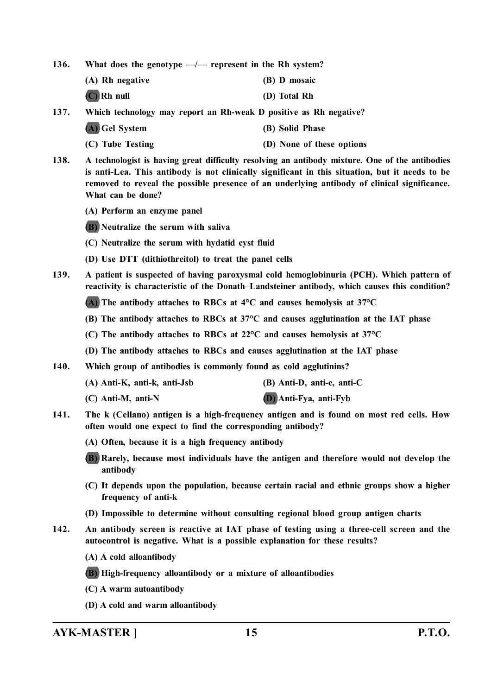**136. What does the genotype —/— represent in the Rh system?**

| (A) Rh negative | (B) D mosaic |
|-----------------|--------------|
| $(C)$ Rh null   | (D) Total Rh |

- **137. Which technology may report an Rh-weak D positive as Rh negative?**
	- **(A) Gel System (B) Solid Phase**
	- **(C) Tube Testing (D) None of these options**
- **138. A technologist is having great difficulty resolving an antibody mixture. One of the antibodies is anti-Lea. This antibody is not clinically significant in this situation, but it needs to be removed to reveal the possible presence of an underlying antibody of clinical significance. What can be done?**
	- **(A) Perform an enzyme panel**
	- **(B) Neutralize the serum with saliva**
	- **(C) Neutralize the serum with hydatid cyst fluid**
	- **(D) Use DTT (dithiothreitol) to treat the panel cells**
- **139. A patient is suspected of having paroxysmal cold hemoglobinuria (PCH). Which pattern of reactivity is characteristic of the Donath–Landsteiner antibody, which causes this condition?**
	- **(A) The antibody attaches to RBCs at 4°C and causes hemolysis at 37°C**
	- **(B) The antibody attaches to RBCs at 37°C and causes agglutination at the IAT phase**
	- **(C) The antibody attaches to RBCs at 22°C and causes hemolysis at 37°C**
	- **(D) The antibody attaches to RBCs and causes agglutination at the IAT phase**
- **140. Which group of antibodies is commonly found as cold agglutinins?**
	- **(A) Anti-K, anti-k, anti-Jsb (B) Anti-D, anti-e, anti-C**
	- **(C) Anti-M, anti-N (D) Anti-Fya, anti-Fyb**
		-
- **141. The k (Cellano) antigen is a high-frequency antigen and is found on most red cells. How often would one expect to find the corresponding antibody?**
	- **(A) Often, because it is a high frequency antibody**
	- **(B) Rarely, because most individuals have the antigen and therefore would not develop the antibody**
	- **(C) It depends upon the population, because certain racial and ethnic groups show a higher frequency of anti-k**
	- **(D) Impossible to determine without consulting regional blood group antigen charts**
- **142. An antibody screen is reactive at IAT phase of testing using a three-cell screen and the autocontrol is negative. What is a possible explanation for these results?**
	- **(A) A cold alloantibody**
	- **(B) High-frequency alloantibody or a mixture of alloantibodies**
	- **(C) A warm autoantibody**
	- **(D) A cold and warm alloantibody**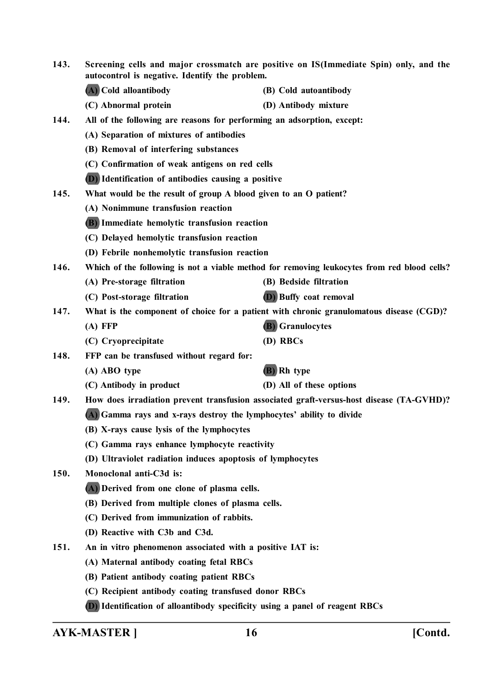| 143.        | Screening cells and major crossmatch are positive on IS(Immediate Spin) only, and the<br>autocontrol is negative. Identify the problem. |                                                                                             |  |
|-------------|-----------------------------------------------------------------------------------------------------------------------------------------|---------------------------------------------------------------------------------------------|--|
|             | (A) Cold alloantibody                                                                                                                   | (B) Cold autoantibody                                                                       |  |
|             | (C) Abnormal protein                                                                                                                    | (D) Antibody mixture                                                                        |  |
| 144.        | All of the following are reasons for performing an adsorption, except:                                                                  |                                                                                             |  |
|             | (A) Separation of mixtures of antibodies                                                                                                |                                                                                             |  |
|             | (B) Removal of interfering substances                                                                                                   |                                                                                             |  |
|             | (C) Confirmation of weak antigens on red cells                                                                                          |                                                                                             |  |
|             | (D) Identification of antibodies causing a positive                                                                                     |                                                                                             |  |
| 145.        | What would be the result of group A blood given to an O patient?                                                                        |                                                                                             |  |
|             | (A) Nonimmune transfusion reaction                                                                                                      |                                                                                             |  |
|             | (B) Immediate hemolytic transfusion reaction                                                                                            |                                                                                             |  |
|             | (C) Delayed hemolytic transfusion reaction                                                                                              |                                                                                             |  |
|             | (D) Febrile nonhemolytic transfusion reaction                                                                                           |                                                                                             |  |
| 146.        |                                                                                                                                         | Which of the following is not a viable method for removing leukocytes from red blood cells? |  |
|             | (A) Pre-storage filtration                                                                                                              | (B) Bedside filtration                                                                      |  |
|             | (C) Post-storage filtration                                                                                                             | <b>D</b> ) Buffy coat removal                                                               |  |
| 147.        | What is the component of choice for a patient with chronic granulomatous disease (CGD)?                                                 |                                                                                             |  |
|             | $(A)$ FFP                                                                                                                               | <b>(B)</b> Granulocytes                                                                     |  |
|             | (C) Cryoprecipitate                                                                                                                     | (D) RBCs                                                                                    |  |
| 148.        | FFP can be transfused without regard for:                                                                                               |                                                                                             |  |
|             | (A) ABO type                                                                                                                            | (B) Rh type                                                                                 |  |
|             | (C) Antibody in product                                                                                                                 | (D) All of these options                                                                    |  |
| 149.        | How does irradiation prevent transfusion associated graft-versus-host disease (TA-GVHD)?                                                |                                                                                             |  |
|             | (A) Gamma rays and x-rays destroy the lymphocytes' ability to divide                                                                    |                                                                                             |  |
|             | (B) X-rays cause lysis of the lymphocytes                                                                                               |                                                                                             |  |
|             | (C) Gamma rays enhance lymphocyte reactivity                                                                                            |                                                                                             |  |
|             | (D) Ultraviolet radiation induces apoptosis of lymphocytes                                                                              |                                                                                             |  |
| <b>150.</b> | Monoclonal anti-C3d is:                                                                                                                 |                                                                                             |  |
|             | (A) Derived from one clone of plasma cells.                                                                                             |                                                                                             |  |
|             | (B) Derived from multiple clones of plasma cells.                                                                                       |                                                                                             |  |
|             | (C) Derived from immunization of rabbits.                                                                                               |                                                                                             |  |
|             | (D) Reactive with C3b and C3d.                                                                                                          |                                                                                             |  |
| 151.        | An in vitro phenomenon associated with a positive IAT is:                                                                               |                                                                                             |  |
|             | (A) Maternal antibody coating fetal RBCs                                                                                                |                                                                                             |  |
|             | (B) Patient antibody coating patient RBCs                                                                                               |                                                                                             |  |
|             | (C) Recipient antibody coating transfused donor RBCs                                                                                    |                                                                                             |  |
|             | (D) Identification of alloantibody specificity using a panel of reagent RBCs                                                            |                                                                                             |  |

**AYK-MASTER ] 16 [Contd.**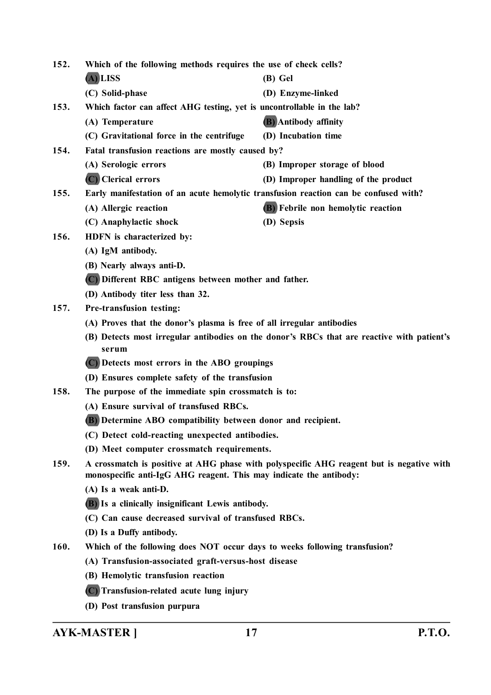**152. Which of the following methods requires the use of check cells? (A) LISS (B) Gel (C) Solid-phase (D) Enzyme-linked 153. Which factor can affect AHG testing, yet is uncontrollable in the lab? (A) Temperature (B) Antibody affinity (C) Gravitational force in the centrifuge (D) Incubation time 154. Fatal transfusion reactions are mostly caused by? (A) Serologic errors (B) Improper storage of blood (C) Clerical errors (D) Improper handling of the product 155. Early manifestation of an acute hemolytic transfusion reaction can be confused with? (A) Allergic reaction (B) Febrile non hemolytic reaction (C) Anaphylactic shock (D) Sepsis 156. HDFN is characterized by: (A) IgM antibody. (B) Nearly always anti-D. (C) Different RBC antigens between mother and father. (D) Antibody titer less than 32. 157. Pre-transfusion testing: (A) Proves that the donor's plasma is free of all irregular antibodies (B) Detects most irregular antibodies on the donor's RBCs that are reactive with patient's serum (C) Detects most errors in the ABO groupings (D) Ensures complete safety of the transfusion 158. The purpose of the immediate spin crossmatch is to: (A) Ensure survival of transfused RBCs. (B) Determine ABO compatibility between donor and recipient. (C) Detect cold-reacting unexpected antibodies. (D) Meet computer crossmatch requirements. 159. A crossmatch is positive at AHG phase with polyspecific AHG reagent but is negative with monospecific anti-IgG AHG reagent. This may indicate the antibody: (A) Is a weak anti-D. (B) Is a clinically insignificant Lewis antibody. (C) Can cause decreased survival of transfused RBCs. (D) Is a Duffy antibody. 160. Which of the following does NOT occur days to weeks following transfusion? (A) Transfusion-associated graft-versus-host disease (B) Hemolytic transfusion reaction (C) Transfusion-related acute lung injury**

**(D) Post transfusion purpura**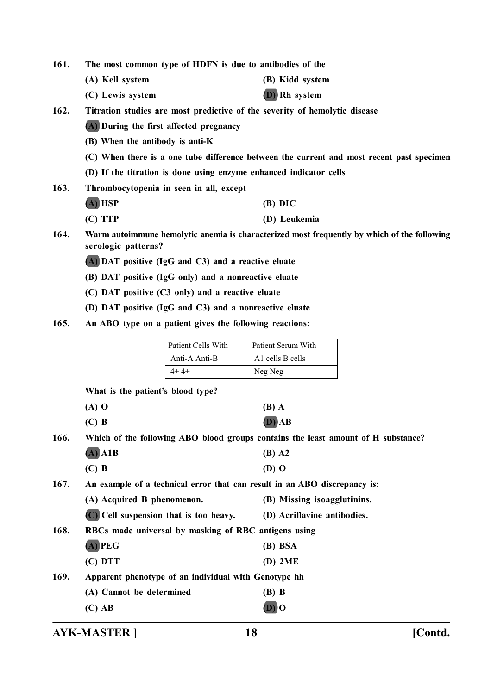**161. The most common type of HDFN is due to antibodies of the**

- **(A) Kell system (B) Kidd system**
- **(C) Lewis system (D) Rh system**
- **162. Titration studies are most predictive of the severity of hemolytic disease**

**(A) During the first affected pregnancy**

- **(B) When the antibody is anti-K**
- **(C) When there is a one tube difference between the current and most recent past specimen**
- **(D) If the titration is done using enzyme enhanced indicator cells**
- **163. Thrombocytopenia in seen in all, except**
	- **(A) HSP (B) DIC**
	- **(C) TTP (D) Leukemia**
- **164. Warm autoimmune hemolytic anemia is characterized most frequently by which of the following serologic patterns?**
	- **(A) DAT positive (IgG and C3) and a reactive eluate**
	- **(B) DAT positive (IgG only) and a nonreactive eluate**
	- **(C) DAT positive (C3 only) and a reactive eluate**
	- **(D) DAT positive (IgG and C3) and a nonreactive eluate**
- **165. An ABO type on a patient gives the following reactions:**

| <b>Patient Cells With</b> | Patient Serum With           |
|---------------------------|------------------------------|
| Anti-A Anti-B             | A <sub>1</sub> cells B cells |
|                           | Neg Neg                      |

**What is the patient's blood type?**

| $(A)$ O | (B) A    |
|---------|----------|
| $(C)$ B | $(D)$ AB |

**166. Which of the following ABO blood groups contains the least amount of H substance?**

|      | $(A)$ A1B                                                                 | $(B)$ A2                    |  |
|------|---------------------------------------------------------------------------|-----------------------------|--|
|      | $(C)$ B                                                                   | (D) O                       |  |
| 167. | An example of a technical error that can result in an ABO discrepancy is: |                             |  |
|      | (A) Acquired B phenomenon.                                                | (B) Missing isoagglutinins. |  |
|      | (C) Cell suspension that is too heavy.                                    | (D) Acriflavine antibodies. |  |
| 168. | RBCs made universal by masking of RBC antigens using                      |                             |  |
|      | $(A)$ PEG                                                                 | (B) BSA                     |  |
|      | (C) DTT                                                                   | (D) 2ME                     |  |

**169. Apparent phenotype of an individual with Genotype hh**

**(A) Cannot be determined (B) B (C) AB (D) O**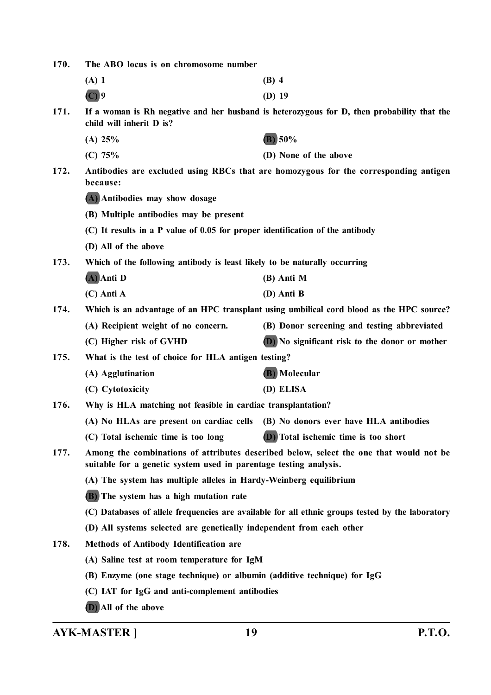| 170. | The ABO locus is on chromosome number                                                                                                                       |                                                                                          |  |
|------|-------------------------------------------------------------------------------------------------------------------------------------------------------------|------------------------------------------------------------------------------------------|--|
|      | $(A)$ 1                                                                                                                                                     | $(B)$ 4                                                                                  |  |
|      | $(C)$ 9                                                                                                                                                     | $(D)$ 19                                                                                 |  |
| 171. | If a woman is Rh negative and her husband is heterozygous for D, then probability that the<br>child will inherit D is?                                      |                                                                                          |  |
|      | (A) 25%                                                                                                                                                     | (B) 50%                                                                                  |  |
|      | (C) 75%                                                                                                                                                     | (D) None of the above                                                                    |  |
| 172. | Antibodies are excluded using RBCs that are homozygous for the corresponding antigen<br>because:                                                            |                                                                                          |  |
|      | (A) Antibodies may show dosage                                                                                                                              |                                                                                          |  |
|      | (B) Multiple antibodies may be present                                                                                                                      |                                                                                          |  |
|      | (C) It results in a P value of 0.05 for proper identification of the antibody                                                                               |                                                                                          |  |
|      | (D) All of the above                                                                                                                                        |                                                                                          |  |
| 173. | Which of the following antibody is least likely to be naturally occurring                                                                                   |                                                                                          |  |
|      | (A) Anti D                                                                                                                                                  | (B) Anti M                                                                               |  |
|      | $(C)$ Anti A                                                                                                                                                | (D) Anti B                                                                               |  |
| 174. |                                                                                                                                                             | Which is an advantage of an HPC transplant using umbilical cord blood as the HPC source? |  |
|      | (A) Recipient weight of no concern.                                                                                                                         | (B) Donor screening and testing abbreviated                                              |  |
|      | (C) Higher risk of GVHD                                                                                                                                     | (D) No significant risk to the donor or mother                                           |  |
| 175. | What is the test of choice for HLA antigen testing?                                                                                                         |                                                                                          |  |
|      | (A) Agglutination                                                                                                                                           | (B) Molecular                                                                            |  |
|      | (C) Cytotoxicity                                                                                                                                            | (D) ELISA                                                                                |  |
| 176. | Why is HLA matching not feasible in cardiac transplantation?                                                                                                |                                                                                          |  |
|      |                                                                                                                                                             | (A) No HLAs are present on cardiac cells (B) No donors ever have HLA antibodies          |  |
|      | (C) Total ischemic time is too long                                                                                                                         | (D) Total ischemic time is too short                                                     |  |
| 177. | Among the combinations of attributes described below, select the one that would not be<br>suitable for a genetic system used in parentage testing analysis. |                                                                                          |  |
|      | (A) The system has multiple alleles in Hardy-Weinberg equilibrium                                                                                           |                                                                                          |  |
|      | (B) The system has a high mutation rate                                                                                                                     |                                                                                          |  |
|      | (C) Databases of allele frequencies are available for all ethnic groups tested by the laboratory                                                            |                                                                                          |  |
|      | (D) All systems selected are genetically independent from each other                                                                                        |                                                                                          |  |
| 178. | <b>Methods of Antibody Identification are</b>                                                                                                               |                                                                                          |  |
|      | (A) Saline test at room temperature for IgM                                                                                                                 |                                                                                          |  |
|      | (B) Enzyme (one stage technique) or albumin (additive technique) for IgG                                                                                    |                                                                                          |  |
|      | (C) IAT for IgG and anti-complement antibodies                                                                                                              |                                                                                          |  |
|      | (D) All of the above                                                                                                                                        |                                                                                          |  |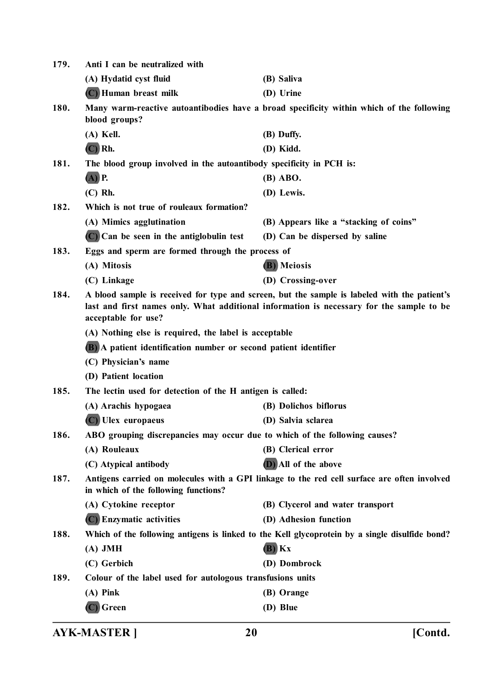| 179. | Anti I can be neutralized with                                                                                                                                                                                  |                                        |  |
|------|-----------------------------------------------------------------------------------------------------------------------------------------------------------------------------------------------------------------|----------------------------------------|--|
|      | (A) Hydatid cyst fluid                                                                                                                                                                                          | (B) Saliva                             |  |
|      | (C) Human breast milk                                                                                                                                                                                           | (D) Urine                              |  |
| 180. | Many warm-reactive autoantibodies have a broad specificity within which of the following<br>blood groups?                                                                                                       |                                        |  |
|      | $(A)$ Kell.                                                                                                                                                                                                     | (B) Duffy.                             |  |
|      | $(C)$ Rh.                                                                                                                                                                                                       | (D) Kidd.                              |  |
| 181. | The blood group involved in the autoantibody specificity in PCH is:                                                                                                                                             |                                        |  |
|      | $(A)$ P.                                                                                                                                                                                                        | (B) ABO.                               |  |
|      | $(C)$ Rh.                                                                                                                                                                                                       | (D) Lewis.                             |  |
| 182. | Which is not true of rouleaux formation?                                                                                                                                                                        |                                        |  |
|      | (A) Mimics agglutination                                                                                                                                                                                        | (B) Appears like a "stacking of coins" |  |
|      | $(C)$ Can be seen in the antiglobulin test                                                                                                                                                                      | (D) Can be dispersed by saline         |  |
| 183. | Eggs and sperm are formed through the process of                                                                                                                                                                |                                        |  |
|      | (A) Mitosis                                                                                                                                                                                                     | (B) Meiosis                            |  |
|      | (C) Linkage                                                                                                                                                                                                     | (D) Crossing-over                      |  |
| 184. | A blood sample is received for type and screen, but the sample is labeled with the patient's<br>last and first names only. What additional information is necessary for the sample to be<br>acceptable for use? |                                        |  |
|      | (A) Nothing else is required, the label is acceptable                                                                                                                                                           |                                        |  |
|      | (B) A patient identification number or second patient identifier                                                                                                                                                |                                        |  |
|      | (C) Physician's name                                                                                                                                                                                            |                                        |  |
|      | (D) Patient location                                                                                                                                                                                            |                                        |  |
| 185. | The lectin used for detection of the H antigen is called:                                                                                                                                                       |                                        |  |
|      | (A) Arachis hypogaea                                                                                                                                                                                            | (B) Dolichos biflorus                  |  |
|      | Ulex europaeus                                                                                                                                                                                                  | (D) Salvia sclarea                     |  |
| 186. | ABO grouping discrepancies may occur due to which of the following causes?                                                                                                                                      |                                        |  |
|      | (A) Rouleaux                                                                                                                                                                                                    | (B) Clerical error                     |  |
|      | (C) Atypical antibody                                                                                                                                                                                           | (D) All of the above                   |  |
| 187. | Antigens carried on molecules with a GPI linkage to the red cell surface are often involved<br>in which of the following functions?                                                                             |                                        |  |
|      | (A) Cytokine receptor                                                                                                                                                                                           | (B) Clycerol and water transport       |  |
|      | (C) Enzymatic activities                                                                                                                                                                                        | (D) Adhesion function                  |  |
| 188. | Which of the following antigens is linked to the Kell glycoprotein by a single disulfide bond?                                                                                                                  |                                        |  |
|      | $(A)$ JMH                                                                                                                                                                                                       | $(B)$ $Kx$                             |  |
|      | (C) Gerbich                                                                                                                                                                                                     | (D) Dombrock                           |  |
| 189. | Colour of the label used for autologous transfusions units                                                                                                                                                      |                                        |  |
|      | $(A)$ Pink                                                                                                                                                                                                      | (B) Orange                             |  |
|      | $(C)$ Green                                                                                                                                                                                                     | (D) Blue                               |  |
|      |                                                                                                                                                                                                                 |                                        |  |

**AYK-MASTER ] 20 [Contd.**